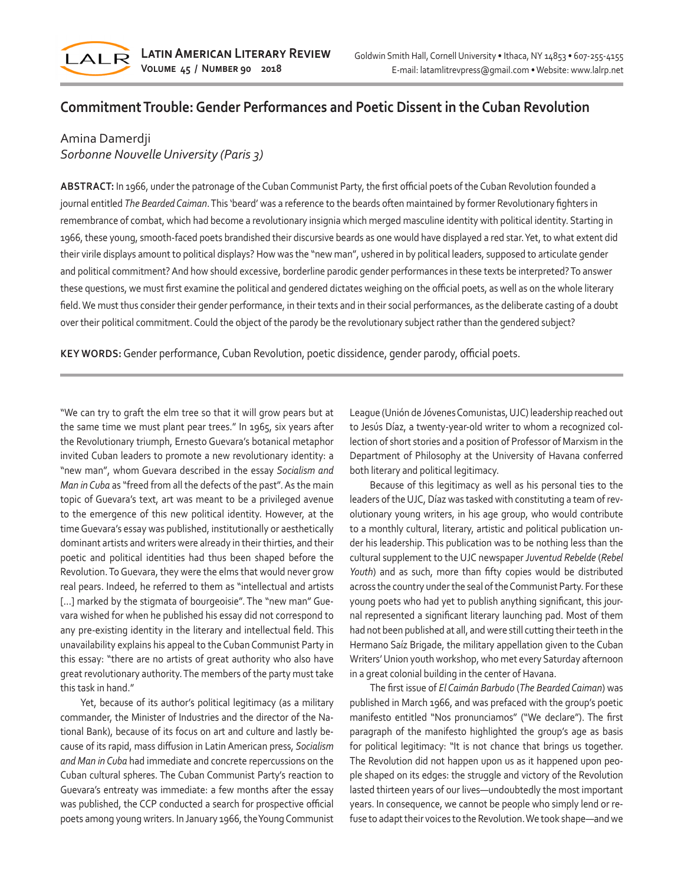

# **Commitment Trouble: Gender Performances and Poetic Dissent in the Cuban Revolution**

## Amina Damerdji

## *Sorbonne Nouvelle University (Paris 3)*

**ABSTRACT:** In 1966, under the patronage of the Cuban Communist Party, the first official poets of the Cuban Revolution founded a journal entitled *The Bearded Caiman*. This 'beard' was a reference to the beards often maintained by former Revolutionary fighters in remembrance of combat, which had become a revolutionary insignia which merged masculine identity with political identity. Starting in 1966, these young, smooth-faced poets brandished their discursive beards as one would have displayed a red star. Yet, to what extent did their virile displays amount to political displays? How was the "new man", ushered in by political leaders, supposed to articulate gender and political commitment? And how should excessive, borderline parodic gender performances in these texts be interpreted? To answer these questions, we must first examine the political and gendered dictates weighing on the official poets, as well as on the whole literary field. We must thus consider their gender performance, in their texts and in their social performances, as the deliberate casting of a doubt over their political commitment. Could the object of the parody be the revolutionary subject rather than the gendered subject?

**KEY WORDS:** Gender performance, Cuban Revolution, poetic dissidence, gender parody, official poets.

"We can try to graft the elm tree so that it will grow pears but at the same time we must plant pear trees." In 1965, six years after the Revolutionary triumph, Ernesto Guevara's botanical metaphor invited Cuban leaders to promote a new revolutionary identity: a "new man", whom Guevara described in the essay *Socialism and Man in Cuba* as "freed from all the defects of the past". As the main topic of Guevara's text, art was meant to be a privileged avenue to the emergence of this new political identity. However, at the time Guevara's essay was published, institutionally or aesthetically dominant artists and writers were already in their thirties, and their poetic and political identities had thus been shaped before the Revolution. To Guevara, they were the elms that would never grow real pears. Indeed, he referred to them as "intellectual and artists [...] marked by the stigmata of bourgeoisie". The "new man" Guevara wished for when he published his essay did not correspond to any pre-existing identity in the literary and intellectual field. This unavailability explains his appeal to the Cuban Communist Party in this essay: "there are no artists of great authority who also have great revolutionary authority. The members of the party must take this task in hand."

Yet, because of its author's political legitimacy (as a military commander, the Minister of Industries and the director of the National Bank), because of its focus on art and culture and lastly because of its rapid, mass diffusion in Latin American press, *Socialism and Man in Cuba* had immediate and concrete repercussions on the Cuban cultural spheres. The Cuban Communist Party's reaction to Guevara's entreaty was immediate: a few months after the essay was published, the CCP conducted a search for prospective official poets among young writers. In January 1966, the Young Communist League (Unión de Jóvenes Comunistas, UJC) leadership reached out to Jesús Díaz, a twenty-year-old writer to whom a recognized collection of short stories and a position of Professor of Marxism in the Department of Philosophy at the University of Havana conferred both literary and political legitimacy.

Because of this legitimacy as well as his personal ties to the leaders of the UJC, Díaz was tasked with constituting a team of revolutionary young writers, in his age group, who would contribute to a monthly cultural, literary, artistic and political publication under his leadership. This publication was to be nothing less than the cultural supplement to the UJC newspaper *Juventud Rebelde* (*Rebel Youth*) and as such, more than fifty copies would be distributed across the country under the seal of the Communist Party. For these young poets who had yet to publish anything significant, this journal represented a significant literary launching pad. Most of them had not been published at all, and were still cutting their teeth in the Hermano Saíz Brigade, the military appellation given to the Cuban Writers' Union youth workshop, who met every Saturday afternoon in a great colonial building in the center of Havana.

The first issue of *El Caimán Barbudo* (*The Bearded Caiman*) was published in March 1966, and was prefaced with the group's poetic manifesto entitled "Nos pronunciamos" ("We declare"). The first paragraph of the manifesto highlighted the group's age as basis for political legitimacy: "It is not chance that brings us together. The Revolution did not happen upon us as it happened upon people shaped on its edges: the struggle and victory of the Revolution lasted thirteen years of our lives—undoubtedly the most important years. In consequence, we cannot be people who simply lend or refuse to adapt their voices to the Revolution. We took shape—and we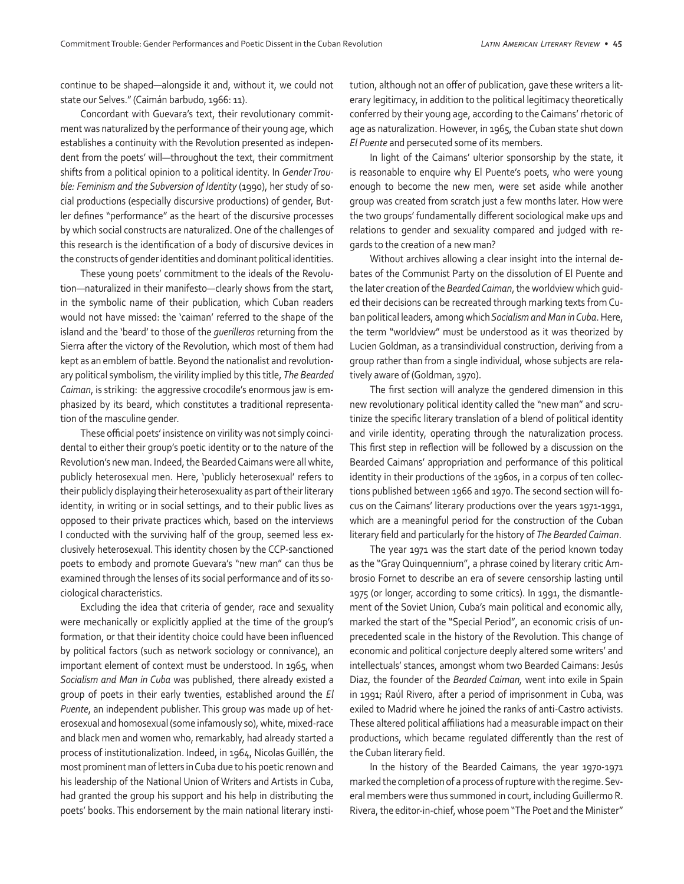continue to be shaped—alongside it and, without it, we could not state our Selves." (Caimán barbudo, 1966: 11).

Concordant with Guevara's text, their revolutionary commitment was naturalized by the performance of their young age, which establishes a continuity with the Revolution presented as independent from the poets' will—throughout the text, their commitment shifts from a political opinion to a political identity. In *Gender Trouble: Feminism and the Subversion of Identity* (1990), her study of social productions (especially discursive productions) of gender, Butler defines "performance" as the heart of the discursive processes by which social constructs are naturalized. One of the challenges of this research is the identification of a body of discursive devices in the constructs of gender identities and dominant political identities.

These young poets' commitment to the ideals of the Revolution—naturalized in their manifesto—clearly shows from the start, in the symbolic name of their publication, which Cuban readers would not have missed: the 'caiman' referred to the shape of the island and the 'beard' to those of the *guerilleros* returning from the Sierra after the victory of the Revolution, which most of them had kept as an emblem of battle. Beyond the nationalist and revolutionary political symbolism, the virility implied by this title, *The Bearded Caiman*, is striking: the aggressive crocodile's enormous jaw is emphasized by its beard, which constitutes a traditional representation of the masculine gender.

These official poets' insistence on virility was not simply coincidental to either their group's poetic identity or to the nature of the Revolution's new man. Indeed, the Bearded Caimans were all white, publicly heterosexual men. Here, 'publicly heterosexual' refers to their publicly displaying their heterosexuality as part of their literary identity, in writing or in social settings, and to their public lives as opposed to their private practices which, based on the interviews I conducted with the surviving half of the group, seemed less exclusively heterosexual. This identity chosen by the CCP-sanctioned poets to embody and promote Guevara's "new man" can thus be examined through the lenses of its social performance and of its sociological characteristics.

Excluding the idea that criteria of gender, race and sexuality were mechanically or explicitly applied at the time of the group's formation, or that their identity choice could have been influenced by political factors (such as network sociology or connivance), an important element of context must be understood. In 1965, when *Socialism and Man in Cuba* was published, there already existed a group of poets in their early twenties, established around the *El Puente*, an independent publisher. This group was made up of heterosexual and homosexual (some infamously so), white, mixed-race and black men and women who, remarkably, had already started a process of institutionalization. Indeed, in 1964, Nicolas Guillén, the most prominent man of letters in Cuba due to his poetic renown and his leadership of the National Union of Writers and Artists in Cuba, had granted the group his support and his help in distributing the poets' books. This endorsement by the main national literary institution, although not an offer of publication, gave these writers a literary legitimacy, in addition to the political legitimacy theoretically conferred by their young age, according to the Caimans' rhetoric of age as naturalization. However, in 1965, the Cuban state shut down *El Puente* and persecuted some of its members.

In light of the Caimans' ulterior sponsorship by the state, it is reasonable to enquire why El Puente's poets, who were young enough to become the new men, were set aside while another group was created from scratch just a few months later. How were the two groups' fundamentally different sociological make ups and relations to gender and sexuality compared and judged with regards to the creation of a new man?

Without archives allowing a clear insight into the internal debates of the Communist Party on the dissolution of El Puente and the later creation of the *Bearded Caiman*, the worldview which guided their decisions can be recreated through marking texts from Cuban political leaders, among which *Socialism and Man in Cuba*. Here, the term "worldview" must be understood as it was theorized by Lucien Goldman, as a transindividual construction, deriving from a group rather than from a single individual, whose subjects are relatively aware of (Goldman, 1970).

The first section will analyze the gendered dimension in this new revolutionary political identity called the "new man" and scrutinize the specific literary translation of a blend of political identity and virile identity, operating through the naturalization process. This first step in reflection will be followed by a discussion on the Bearded Caimans' appropriation and performance of this political identity in their productions of the 1960s, in a corpus of ten collections published between 1966 and 1970. The second section will focus on the Caimans' literary productions over the years 1971-1991, which are a meaningful period for the construction of the Cuban literary field and particularly for the history of *The Bearded Caiman*.

The year 1971 was the start date of the period known today as the "Gray Quinquennium", a phrase coined by literary critic Ambrosio Fornet to describe an era of severe censorship lasting until 1975 (or longer, according to some critics). In 1991, the dismantlement of the Soviet Union, Cuba's main political and economic ally, marked the start of the "Special Period", an economic crisis of unprecedented scale in the history of the Revolution. This change of economic and political conjecture deeply altered some writers' and intellectuals' stances, amongst whom two Bearded Caimans: Jesús Diaz, the founder of the *Bearded Caiman,* went into exile in Spain in 1991; Raúl Rivero, after a period of imprisonment in Cuba, was exiled to Madrid where he joined the ranks of anti-Castro activists. These altered political affiliations had a measurable impact on their productions, which became regulated differently than the rest of the Cuban literary field.

In the history of the Bearded Caimans, the year 1970-1971 marked the completion of a process of rupture with the regime. Several members were thus summoned in court, including Guillermo R. Rivera, the editor-in-chief, whose poem "The Poet and the Minister"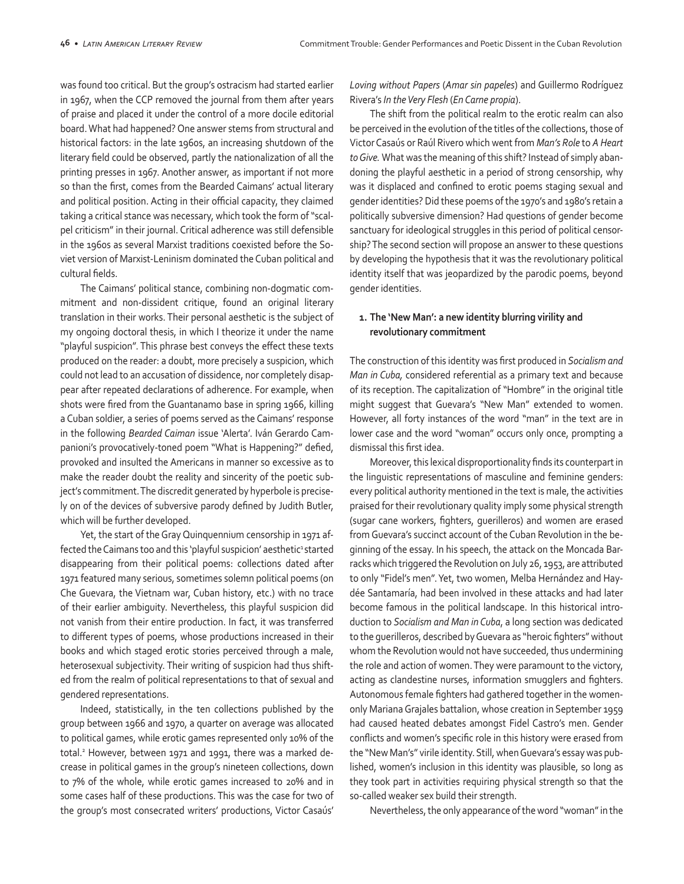was found too critical. But the group's ostracism had started earlier in 1967, when the CCP removed the journal from them after years of praise and placed it under the control of a more docile editorial board. What had happened? One answer stems from structural and historical factors: in the late 1960s, an increasing shutdown of the literary field could be observed, partly the nationalization of all the printing presses in 1967. Another answer, as important if not more so than the first, comes from the Bearded Caimans' actual literary and political position. Acting in their official capacity, they claimed taking a critical stance was necessary, which took the form of "scalpel criticism" in their journal. Critical adherence was still defensible in the 1960s as several Marxist traditions coexisted before the Soviet version of Marxist-Leninism dominated the Cuban political and cultural fields.

The Caimans' political stance, combining non-dogmatic commitment and non-dissident critique, found an original literary translation in their works. Their personal aesthetic is the subject of my ongoing doctoral thesis, in which I theorize it under the name "playful suspicion". This phrase best conveys the effect these texts produced on the reader: a doubt, more precisely a suspicion, which could not lead to an accusation of dissidence, nor completely disappear after repeated declarations of adherence. For example, when shots were fired from the Guantanamo base in spring 1966, killing a Cuban soldier, a series of poems served as the Caimans' response in the following *Bearded Caiman* issue 'Alerta'. Iván Gerardo Campanioni's provocatively-toned poem "What is Happening?" defied, provoked and insulted the Americans in manner so excessive as to make the reader doubt the reality and sincerity of the poetic subject's commitment. The discredit generated by hyperbole is precisely on of the devices of subversive parody defined by Judith Butler, which will be further developed.

Yet, the start of the Gray Quinquennium censorship in 1971 affected the Caimans too and this 'playful suspicion' aesthetic<sup>1</sup> started disappearing from their political poems: collections dated after 1971 featured many serious, sometimes solemn political poems (on Che Guevara, the Vietnam war, Cuban history, etc.) with no trace of their earlier ambiguity. Nevertheless, this playful suspicion did not vanish from their entire production. In fact, it was transferred to different types of poems, whose productions increased in their books and which staged erotic stories perceived through a male, heterosexual subjectivity. Their writing of suspicion had thus shifted from the realm of political representations to that of sexual and gendered representations.

Indeed, statistically, in the ten collections published by the group between 1966 and 1970, a quarter on average was allocated to political games, while erotic games represented only 10% of the total.2 However, between 1971 and 1991, there was a marked decrease in political games in the group's nineteen collections, down to 7% of the whole, while erotic games increased to 20% and in some cases half of these productions. This was the case for two of the group's most consecrated writers' productions, Victor Casaús'

*Loving without Papers* (*Amar sin papeles*) and Guillermo Rodríguez Rivera's *In the Very Flesh* (*En Carne propia*).

The shift from the political realm to the erotic realm can also be perceived in the evolution of the titles of the collections, those of Victor Casaús or Raúl Rivero which went from *Man's Role* to *A Heart to Give.* What was the meaning of this shift? Instead of simply abandoning the playful aesthetic in a period of strong censorship, why was it displaced and confined to erotic poems staging sexual and gender identities? Did these poems of the 1970's and 1980's retain a politically subversive dimension? Had questions of gender become sanctuary for ideological struggles in this period of political censorship? The second section will propose an answer to these questions by developing the hypothesis that it was the revolutionary political identity itself that was jeopardized by the parodic poems, beyond gender identities.

## **1. The 'New Man': a new identity blurring virility and revolutionary commitment**

The construction of this identity was first produced in *Socialism and Man in Cuba,* considered referential as a primary text and because of its reception. The capitalization of "Hombre" in the original title might suggest that Guevara's "New Man" extended to women. However, all forty instances of the word "man" in the text are in lower case and the word "woman" occurs only once, prompting a dismissal this first idea.

Moreover, this lexical disproportionality finds its counterpart in the linguistic representations of masculine and feminine genders: every political authority mentioned in the text is male, the activities praised for their revolutionary quality imply some physical strength (sugar cane workers, fighters, guerilleros) and women are erased from Guevara's succinct account of the Cuban Revolution in the beginning of the essay. In his speech, the attack on the Moncada Barracks which triggered the Revolution on July 26, 1953, are attributed to only "Fidel's men". Yet, two women, Melba Hernández and Haydée Santamaría, had been involved in these attacks and had later become famous in the political landscape. In this historical introduction to *Socialism and Man in Cuba*, a long section was dedicated to the guerilleros, described by Guevara as "heroic fighters" without whom the Revolution would not have succeeded, thus undermining the role and action of women. They were paramount to the victory, acting as clandestine nurses, information smugglers and fighters. Autonomous female fighters had gathered together in the womenonly Mariana Grajales battalion, whose creation in September 1959 had caused heated debates amongst Fidel Castro's men. Gender conflicts and women's specific role in this history were erased from the "New Man's" virile identity. Still, when Guevara's essay was published, women's inclusion in this identity was plausible, so long as they took part in activities requiring physical strength so that the so-called weaker sex build their strength.

Nevertheless, the only appearance of the word "woman" in the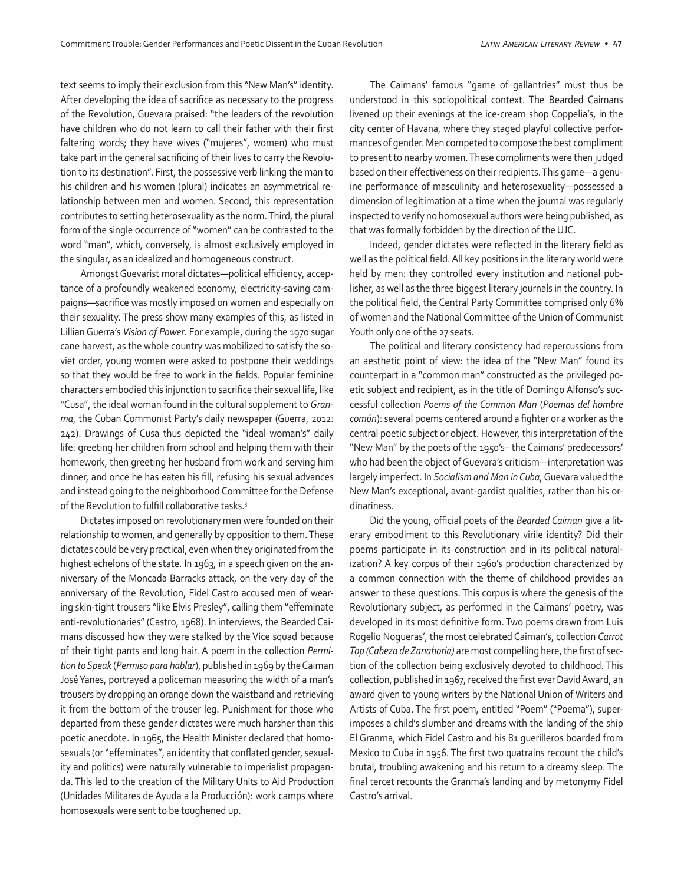text seems to imply their exclusion from this "New Man's" identity. After developing the idea of sacrifice as necessary to the progress of the Revolution, Guevara praised: "the leaders of the revolution have children who do not learn to call their father with their first faltering words; they have wives ("mujeres", women) who must take part in the general sacrificing of their lives to carry the Revolution to its destination". First, the possessive verb linking the man to his children and his women (plural) indicates an asymmetrical relationship between men and women. Second, this representation contributes to setting heterosexuality as the norm. Third, the plural form of the single occurrence of "women" can be contrasted to the word "man", which, conversely, is almost exclusively employed in the singular, as an idealized and homogeneous construct.

Amongst Guevarist moral dictates—political efficiency, acceptance of a profoundly weakened economy, electricity-saving campaigns—sacrifice was mostly imposed on women and especially on their sexuality. The press show many examples of this, as listed in Lillian Guerra's *Vision of Power*. For example, during the 1970 sugar cane harvest, as the whole country was mobilized to satisfy the soviet order, young women were asked to postpone their weddings so that they would be free to work in the fields. Popular feminine characters embodied this injunction to sacrifice their sexual life, like "Cusa", the ideal woman found in the cultural supplement to *Granma*, the Cuban Communist Party's daily newspaper (Guerra, 2012: 242). Drawings of Cusa thus depicted the "ideal woman's" daily life: greeting her children from school and helping them with their homework, then greeting her husband from work and serving him dinner, and once he has eaten his fill, refusing his sexual advances and instead going to the neighborhood Committee for the Defense of the Revolution to fulfill collaborative tasks.<sup>3</sup>

Dictates imposed on revolutionary men were founded on their relationship to women, and generally by opposition to them. These dictates could be very practical, even when they originated from the highest echelons of the state. In 1963, in a speech given on the anniversary of the Moncada Barracks attack, on the very day of the anniversary of the Revolution, Fidel Castro accused men of wearing skin-tight trousers "like Elvis Presley", calling them "effeminate anti-revolutionaries" (Castro, 1968). In interviews, the Bearded Caimans discussed how they were stalked by the Vice squad because of their tight pants and long hair. A poem in the collection *Permition to Speak* (*Permiso para hablar*), published in 1969 by the Caiman José Yanes, portrayed a policeman measuring the width of a man's trousers by dropping an orange down the waistband and retrieving it from the bottom of the trouser leg. Punishment for those who departed from these gender dictates were much harsher than this poetic anecdote. In 1965, the Health Minister declared that homosexuals (or "effeminates", an identity that conflated gender, sexuality and politics) were naturally vulnerable to imperialist propaganda. This led to the creation of the Military Units to Aid Production (Unidades Militares de Ayuda a la Producción): work camps where homosexuals were sent to be toughened up.

The Caimans' famous "game of gallantries" must thus be understood in this sociopolitical context. The Bearded Caimans livened up their evenings at the ice-cream shop Coppelia's, in the city center of Havana, where they staged playful collective performances of gender. Men competed to compose the best compliment to present to nearby women. These compliments were then judged based on their effectiveness on their recipients. This game—a genuine performance of masculinity and heterosexuality—possessed a dimension of legitimation at a time when the journal was regularly inspected to verify no homosexual authors were being published, as that was formally forbidden by the direction of the UJC.

Indeed, gender dictates were reflected in the literary field as well as the political field. All key positions in the literary world were held by men: they controlled every institution and national publisher, as well as the three biggest literary journals in the country. In the political field, the Central Party Committee comprised only 6% of women and the National Committee of the Union of Communist Youth only one of the 27 seats.

The political and literary consistency had repercussions from an aesthetic point of view: the idea of the "New Man" found its counterpart in a "common man" constructed as the privileged poetic subject and recipient, as in the title of Domingo Alfonso's successful collection *Poems of the Common Man* (*Poemas del hombre común*): several poems centered around a fighter or a worker as the central poetic subject or object. However, this interpretation of the "New Man" by the poets of the 1950's– the Caimans' predecessors' who had been the object of Guevara's criticism—interpretation was largely imperfect. In *Socialism and Man in Cuba*, Guevara valued the New Man's exceptional, avant-gardist qualities, rather than his ordinariness.

Did the young, official poets of the *Bearded Caiman* give a literary embodiment to this Revolutionary virile identity? Did their poems participate in its construction and in its political naturalization? A key corpus of their 1960's production characterized by a common connection with the theme of childhood provides an answer to these questions. This corpus is where the genesis of the Revolutionary subject, as performed in the Caimans' poetry, was developed in its most definitive form. Two poems drawn from Luis Rogelio Nogueras', the most celebrated Caiman's, collection *Carrot Top (Cabeza de Zanahoria)* are most compelling here, the first of section of the collection being exclusively devoted to childhood. This collection, published in 1967, received the first ever David Award, an award given to young writers by the National Union of Writers and Artists of Cuba. The first poem, entitled "Poem" ("Poema"), superimposes a child's slumber and dreams with the landing of the ship El Granma, which Fidel Castro and his 81 guerilleros boarded from Mexico to Cuba in 1956. The first two quatrains recount the child's brutal, troubling awakening and his return to a dreamy sleep. The final tercet recounts the Granma's landing and by metonymy Fidel Castro's arrival.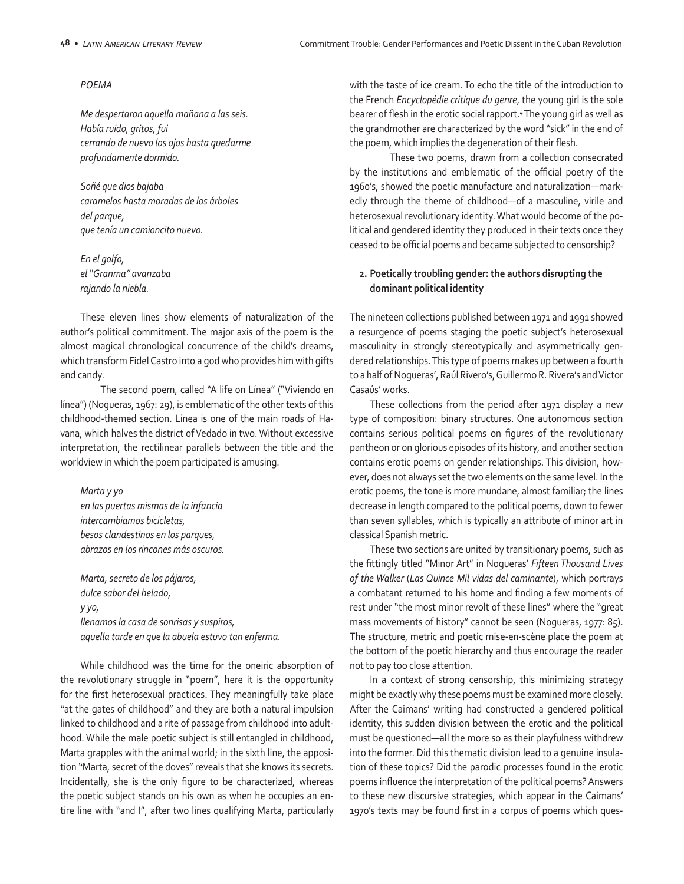#### *POEMA*

*Me despertaron aquella mañana a las seis. Había ruido, gritos, fui cerrando de nuevo los ojos hasta quedarme profundamente dormido.* 

*Soñé que dios bajaba caramelos hasta moradas de los árboles del parque, que tenía un camioncito nuevo.* 

*En el golfo, el "Granma" avanzaba rajando la niebla.* 

These eleven lines show elements of naturalization of the author's political commitment. The major axis of the poem is the almost magical chronological concurrence of the child's dreams, which transform Fidel Castro into a god who provides him with gifts and candy.

The second poem, called "A life on Línea" ("Viviendo en línea") (Nogueras, 1967: 29), is emblematic of the other texts of this childhood-themed section. Linea is one of the main roads of Havana, which halves the district of Vedado in two. Without excessive interpretation, the rectilinear parallels between the title and the worldview in which the poem participated is amusing.

*Marta y yo en las puertas mismas de la infancia intercambiamos bicicletas, besos clandestinos en los parques, abrazos en los rincones más oscuros.*

*Marta, secreto de los pájaros, dulce sabor del helado, y yo, llenamos la casa de sonrisas y suspiros, aquella tarde en que la abuela estuvo tan enferma.*

While childhood was the time for the oneiric absorption of the revolutionary struggle in "poem", here it is the opportunity for the first heterosexual practices. They meaningfully take place "at the gates of childhood" and they are both a natural impulsion linked to childhood and a rite of passage from childhood into adulthood. While the male poetic subject is still entangled in childhood, Marta grapples with the animal world; in the sixth line, the apposition "Marta, secret of the doves" reveals that she knows its secrets. Incidentally, she is the only figure to be characterized, whereas the poetic subject stands on his own as when he occupies an entire line with "and I", after two lines qualifying Marta, particularly with the taste of ice cream. To echo the title of the introduction to the French *Encyclopédie critique du genre*, the young girl is the sole bearer of flesh in the erotic social rapport.<sup>4</sup> The young girl as well as the grandmother are characterized by the word "sick" in the end of the poem, which implies the degeneration of their flesh.

These two poems, drawn from a collection consecrated by the institutions and emblematic of the official poetry of the 1960's, showed the poetic manufacture and naturalization—markedly through the theme of childhood—of a masculine, virile and heterosexual revolutionary identity. What would become of the political and gendered identity they produced in their texts once they ceased to be official poems and became subjected to censorship?

## **2. Poetically troubling gender: the authors disrupting the dominant political identity**

The nineteen collections published between 1971 and 1991 showed a resurgence of poems staging the poetic subject's heterosexual masculinity in strongly stereotypically and asymmetrically gendered relationships. This type of poems makes up between a fourth to a half of Nogueras', Raúl Rivero's, Guillermo R. Rivera's and Victor Casaús' works.

These collections from the period after 1971 display a new type of composition: binary structures. One autonomous section contains serious political poems on figures of the revolutionary pantheon or on glorious episodes of its history, and another section contains erotic poems on gender relationships. This division, however, does not always set the two elements on the same level. In the erotic poems, the tone is more mundane, almost familiar; the lines decrease in length compared to the political poems, down to fewer than seven syllables, which is typically an attribute of minor art in classical Spanish metric.

These two sections are united by transitionary poems, such as the fittingly titled "Minor Art" in Nogueras' *Fifteen Thousand Lives of the Walker* (*Las Quince Mil vidas del caminante*), which portrays a combatant returned to his home and finding a few moments of rest under "the most minor revolt of these lines" where the "great mass movements of history" cannot be seen (Nogueras, 1977: 85). The structure, metric and poetic mise-en-scène place the poem at the bottom of the poetic hierarchy and thus encourage the reader not to pay too close attention.

In a context of strong censorship, this minimizing strategy might be exactly why these poems must be examined more closely. After the Caimans' writing had constructed a gendered political identity, this sudden division between the erotic and the political must be questioned—all the more so as their playfulness withdrew into the former. Did this thematic division lead to a genuine insulation of these topics? Did the parodic processes found in the erotic poems influence the interpretation of the political poems? Answers to these new discursive strategies, which appear in the Caimans' 1970's texts may be found first in a corpus of poems which ques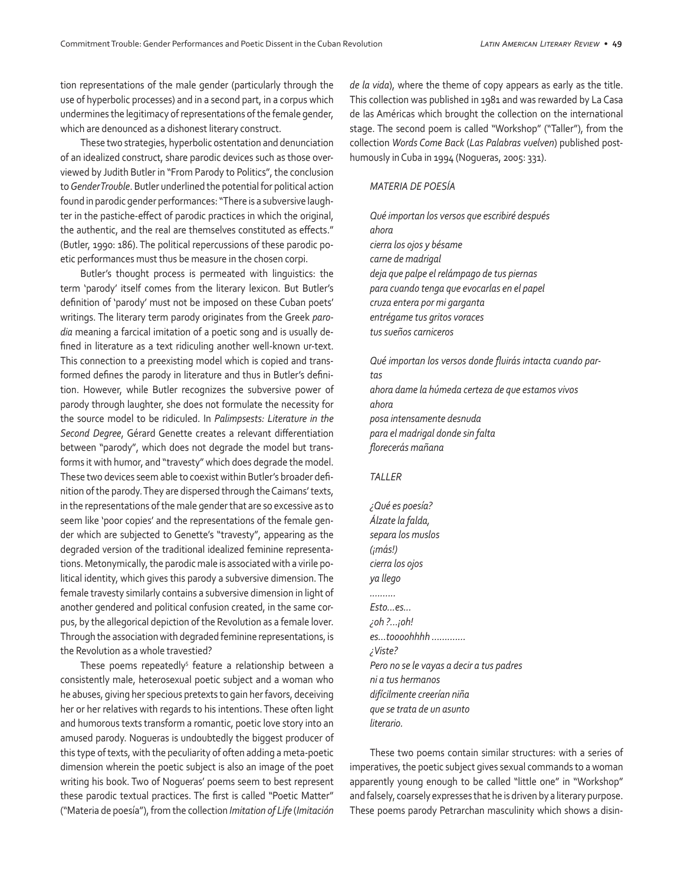tion representations of the male gender (particularly through the use of hyperbolic processes) and in a second part, in a corpus which undermines the legitimacy of representations of the female gender, which are denounced as a dishonest literary construct.

These two strategies, hyperbolic ostentation and denunciation of an idealized construct, share parodic devices such as those overviewed by Judith Butler in "From Parody to Politics", the conclusion to *Gender Trouble*. Butler underlined the potential for political action found in parodic gender performances: "There is a subversive laughter in the pastiche-effect of parodic practices in which the original, the authentic, and the real are themselves constituted as effects." (Butler, 1990: 186). The political repercussions of these parodic poetic performances must thus be measure in the chosen corpi.

Butler's thought process is permeated with linguistics: the term 'parody' itself comes from the literary lexicon. But Butler's definition of 'parody' must not be imposed on these Cuban poets' writings. The literary term parody originates from the Greek *parodia* meaning a farcical imitation of a poetic song and is usually defined in literature as a text ridiculing another well-known ur-text. This connection to a preexisting model which is copied and transformed defines the parody in literature and thus in Butler's definition. However, while Butler recognizes the subversive power of parody through laughter, she does not formulate the necessity for the source model to be ridiculed. In *Palimpsests: Literature in the Second Degree*, Gérard Genette creates a relevant differentiation between "parody", which does not degrade the model but transforms it with humor, and "travesty" which does degrade the model. These two devices seem able to coexist within Butler's broader definition of the parody. They are dispersed through the Caimans' texts, in the representations of the male gender that are so excessive as to seem like 'poor copies' and the representations of the female gender which are subjected to Genette's "travesty", appearing as the degraded version of the traditional idealized feminine representations. Metonymically, the parodic male is associated with a virile political identity, which gives this parody a subversive dimension. The female travesty similarly contains a subversive dimension in light of another gendered and political confusion created, in the same corpus, by the allegorical depiction of the Revolution as a female lover. Through the association with degraded feminine representations, is the Revolution as a whole travestied?

These poems repeatedly<sup>5</sup> feature a relationship between a consistently male, heterosexual poetic subject and a woman who he abuses, giving her specious pretexts to gain her favors, deceiving her or her relatives with regards to his intentions. These often light and humorous texts transform a romantic, poetic love story into an amused parody. Nogueras is undoubtedly the biggest producer of this type of texts, with the peculiarity of often adding a meta-poetic dimension wherein the poetic subject is also an image of the poet writing his book. Two of Nogueras' poems seem to best represent these parodic textual practices. The first is called "Poetic Matter" ("Materia de poesía"), from the collection *Imitation of Life* (*Imitación*  *de la vida*), where the theme of copy appears as early as the title. This collection was published in 1981 and was rewarded by La Casa de las Américas which brought the collection on the international stage. The second poem is called "Workshop" ("Taller"), from the collection *Words Come Back* (*Las Palabras vuelven*) published posthumously in Cuba in 1994 (Nogueras, 2005: 331).

#### *MATERIA DE POESÍA*

*Qué importan los versos que escribiré después ahora cierra los ojos y bésame carne de madrigal deja que palpe el relámpago de tus piernas para cuando tenga que evocarlas en el papel cruza entera por mi garganta entrégame tus gritos voraces tus sueños carniceros* 

*Qué importan los versos donde fluirás intacta cuando partas ahora dame la húmeda certeza de que estamos vivos ahora posa intensamente desnuda para el madrigal donde sin falta florecerás mañana* 

#### *TALLER*

*¿Qué es poesía? Álzate la falda, separa los muslos (¡más!) cierra los ojos ya llego .......... Esto...es... ¿oh ?...¡oh! es...toooohhhh ............. ¿Viste? Pero no se le vayas a decir a tus padres ni a tus hermanos difícilmente creerían niña que se trata de un asunto literario.* 

These two poems contain similar structures: with a series of imperatives, the poetic subject gives sexual commands to a woman apparently young enough to be called "little one" in "Workshop" and falsely, coarsely expresses that he is driven by a literary purpose. These poems parody Petrarchan masculinity which shows a disin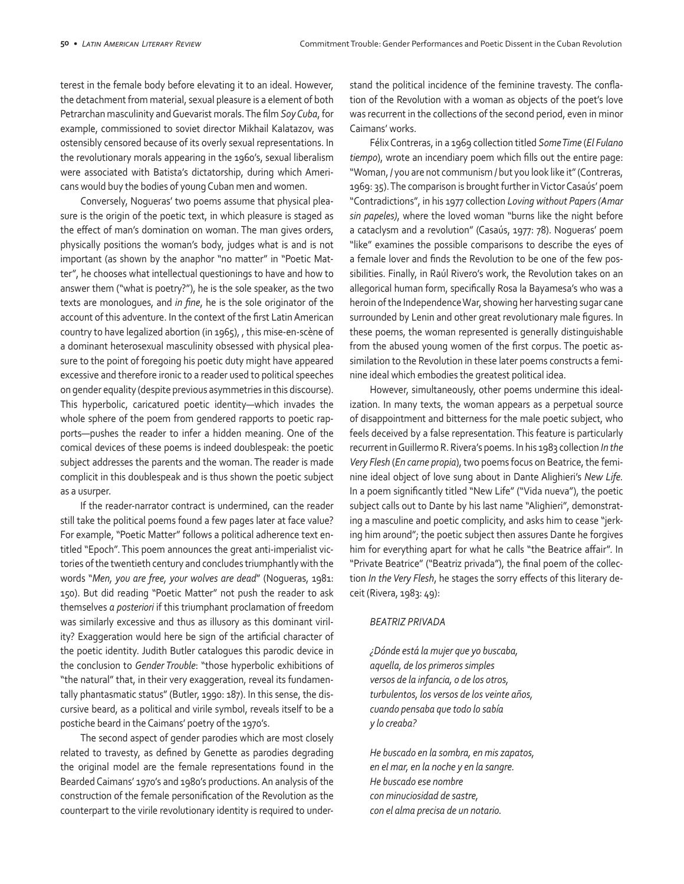terest in the female body before elevating it to an ideal. However, the detachment from material, sexual pleasure is a element of both Petrarchan masculinity and Guevarist morals. The film *Soy Cuba*, for example, commissioned to soviet director Mikhail Kalatazov, was ostensibly censored because of its overly sexual representations. In the revolutionary morals appearing in the 1960's, sexual liberalism were associated with Batista's dictatorship, during which Americans would buy the bodies of young Cuban men and women.

Conversely, Nogueras' two poems assume that physical pleasure is the origin of the poetic text, in which pleasure is staged as the effect of man's domination on woman. The man gives orders, physically positions the woman's body, judges what is and is not important (as shown by the anaphor "no matter" in "Poetic Matter", he chooses what intellectual questionings to have and how to answer them ("what is poetry?"), he is the sole speaker, as the two texts are monologues, and *in fine*, he is the sole originator of the account of this adventure. In the context of the first Latin American country to have legalized abortion (in 1965), , this mise-en-scène of a dominant heterosexual masculinity obsessed with physical pleasure to the point of foregoing his poetic duty might have appeared excessive and therefore ironic to a reader used to political speeches on gender equality (despite previous asymmetries in this discourse). This hyperbolic, caricatured poetic identity—which invades the whole sphere of the poem from gendered rapports to poetic rapports—pushes the reader to infer a hidden meaning. One of the comical devices of these poems is indeed doublespeak: the poetic subject addresses the parents and the woman. The reader is made complicit in this doublespeak and is thus shown the poetic subject as a usurper.

If the reader-narrator contract is undermined, can the reader still take the political poems found a few pages later at face value? For example, "Poetic Matter" follows a political adherence text entitled "Epoch". This poem announces the great anti-imperialist victories of the twentieth century and concludes triumphantly with the words "*Men, you are free, your wolves are dead*" (Nogueras, 1981: 150). But did reading "Poetic Matter" not push the reader to ask themselves *a posteriori* if this triumphant proclamation of freedom was similarly excessive and thus as illusory as this dominant virility? Exaggeration would here be sign of the artificial character of the poetic identity. Judith Butler catalogues this parodic device in the conclusion to *Gender Trouble*: "those hyperbolic exhibitions of "the natural" that, in their very exaggeration, reveal its fundamentally phantasmatic status" (Butler, 1990: 187). In this sense, the discursive beard, as a political and virile symbol, reveals itself to be a postiche beard in the Caimans' poetry of the 1970's.

The second aspect of gender parodies which are most closely related to travesty, as defined by Genette as parodies degrading the original model are the female representations found in the Bearded Caimans' 1970's and 1980's productions. An analysis of the construction of the female personification of the Revolution as the counterpart to the virile revolutionary identity is required to understand the political incidence of the feminine travesty. The conflation of the Revolution with a woman as objects of the poet's love was recurrent in the collections of the second period, even in minor Caimans' works.

Félix Contreras, in a 1969 collection titled *Some Time* (*El Fulano tiempo*), wrote an incendiary poem which fills out the entire page: "Woman, / you are not communism / but you look like it" (Contreras, 1969: 35). The comparison is brought further in Victor Casaús' poem "Contradictions", in his 1977 collection *Loving without Papers (Amar sin papeles)*, where the loved woman "burns like the night before a cataclysm and a revolution" (Casaús, 1977: 78). Nogueras' poem "like" examines the possible comparisons to describe the eyes of a female lover and finds the Revolution to be one of the few possibilities. Finally, in Raúl Rivero's work, the Revolution takes on an allegorical human form, specifically Rosa la Bayamesa's who was a heroin of the Independence War, showing her harvesting sugar cane surrounded by Lenin and other great revolutionary male figures. In these poems, the woman represented is generally distinguishable from the abused young women of the first corpus. The poetic assimilation to the Revolution in these later poems constructs a feminine ideal which embodies the greatest political idea.

However, simultaneously, other poems undermine this idealization. In many texts, the woman appears as a perpetual source of disappointment and bitterness for the male poetic subject, who feels deceived by a false representation. This feature is particularly recurrent in Guillermo R. Rivera's poems. In his 1983 collection *In the Very Flesh* (*En carne propia*), two poems focus on Beatrice, the feminine ideal object of love sung about in Dante Alighieri's *New Life.* In a poem significantly titled "New Life" ("Vida nueva"), the poetic subject calls out to Dante by his last name "Alighieri", demonstrating a masculine and poetic complicity, and asks him to cease "jerking him around"; the poetic subject then assures Dante he forgives him for everything apart for what he calls "the Beatrice affair". In "Private Beatrice" ("Beatriz privada"), the final poem of the collection *In the Very Flesh*, he stages the sorry effects of this literary deceit (Rivera, 1983: 49):

#### *BEATRIZ PRIVADA*

*¿Dónde está la mujer que yo buscaba, aquella, de los primeros simples versos de la infancia, o de los otros, turbulentos, los versos de los veinte años, cuando pensaba que todo lo sabía y lo creaba?* 

*He buscado en la sombra, en mis zapatos, en el mar, en la noche y en la sangre. He buscado ese nombre con minuciosidad de sastre, con el alma precisa de un notario.*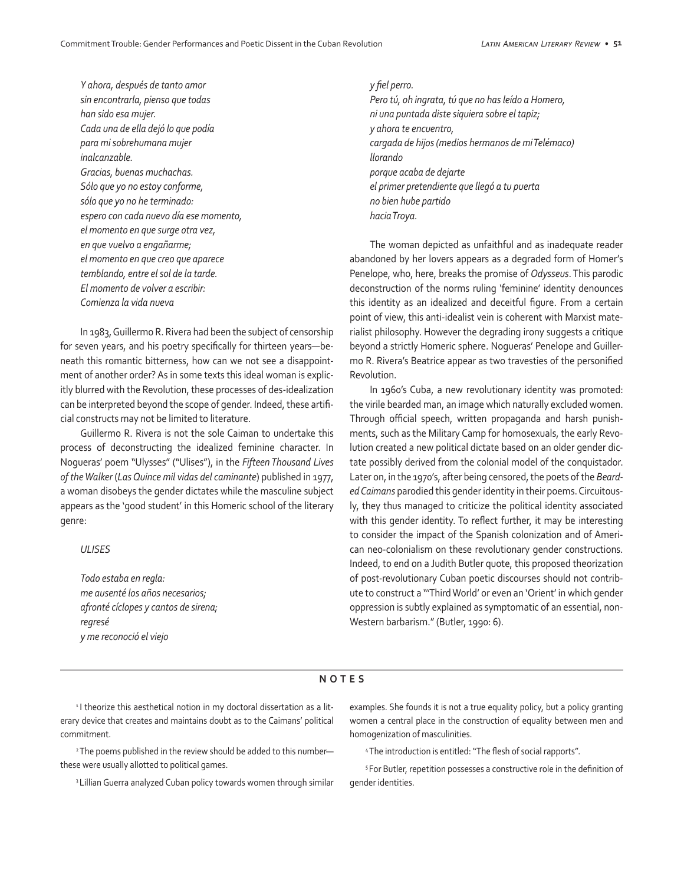*Y ahora, después de tanto amor sin encontrarla, pienso que todas han sido esa mujer. Cada una de ella dejó lo que podía para mi sobrehumana mujer inalcanzable. Gracias, buenas muchachas. Sólo que yo no estoy conforme, sólo que yo no he terminado: espero con cada nuevo día ese momento, el momento en que surge otra vez, en que vuelvo a engañarme; el momento en que creo que aparece temblando, entre el sol de la tarde. El momento de volver a escribir: Comienza la vida nueva* 

In 1983, Guillermo R. Rivera had been the subject of censorship for seven years, and his poetry specifically for thirteen years—beneath this romantic bitterness, how can we not see a disappointment of another order? As in some texts this ideal woman is explicitly blurred with the Revolution, these processes of des-idealization can be interpreted beyond the scope of gender. Indeed, these artificial constructs may not be limited to literature.

Guillermo R. Rivera is not the sole Caiman to undertake this process of deconstructing the idealized feminine character. In Nogueras' poem "Ulysses" ("Ulises"), in the *Fifteen Thousand Lives of the Walker* (*Las Quince mil vidas del caminante*) published in 1977, a woman disobeys the gender dictates while the masculine subject appears as the 'good student' in this Homeric school of the literary genre:

### *ULISES*

*Todo estaba en regla: me ausenté los años necesarios; afronté cíclopes y cantos de sirena; regresé y me reconoció el viejo*

*y fiel perro. Pero tú, oh ingrata, tú que no has leído a Homero, ni una puntada diste siquiera sobre el tapiz; y ahora te encuentro, cargada de hijos (medios hermanos de mi Telémaco) llorando porque acaba de dejarte el primer pretendiente que llegó a tu puerta no bien hube partido hacia Troya.* 

The woman depicted as unfaithful and as inadequate reader abandoned by her lovers appears as a degraded form of Homer's Penelope, who, here, breaks the promise of *Odysseus*. This parodic deconstruction of the norms ruling 'feminine' identity denounces this identity as an idealized and deceitful figure. From a certain point of view, this anti-idealist vein is coherent with Marxist materialist philosophy. However the degrading irony suggests a critique beyond a strictly Homeric sphere. Nogueras' Penelope and Guillermo R. Rivera's Beatrice appear as two travesties of the personified Revolution.

In 1960's Cuba, a new revolutionary identity was promoted: the virile bearded man, an image which naturally excluded women. Through official speech, written propaganda and harsh punishments, such as the Military Camp for homosexuals, the early Revolution created a new political dictate based on an older gender dictate possibly derived from the colonial model of the conquistador. Later on, in the 1970's, after being censored, the poets of the *Bearded Caimans* parodied this gender identity in their poems. Circuitously, they thus managed to criticize the political identity associated with this gender identity. To reflect further, it may be interesting to consider the impact of the Spanish colonization and of American neo-colonialism on these revolutionary gender constructions. Indeed, to end on a Judith Butler quote, this proposed theorization of post-revolutionary Cuban poetic discourses should not contribute to construct a "'Third World' or even an 'Orient' in which gender oppression is subtly explained as symptomatic of an essential, non-Western barbarism." (Butler, 1990: 6).

#### **NOTES**

<sup>1</sup> I theorize this aesthetical notion in my doctoral dissertation as a literary device that creates and maintains doubt as to the Caimans' political commitment.

<sup>2</sup> The poems published in the review should be added to this numberthese were usually allotted to political games.

<sup>3</sup> Lillian Guerra analyzed Cuban policy towards women through similar

examples. She founds it is not a true equality policy, but a policy granting women a central place in the construction of equality between men and homogenization of masculinities.

<sup>4</sup>The introduction is entitled: "The flesh of social rapports".

<sup>5</sup>For Butler, repetition possesses a constructive role in the definition of gender identities.